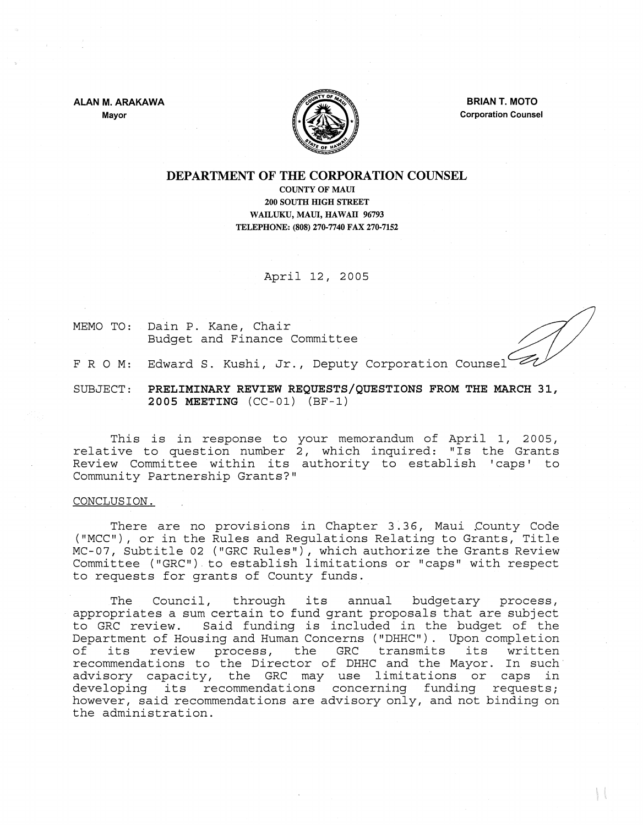**ALAN M. ARAKAWA** 

**Mayor** 



**BRIAN T. MOTO Corporation Counsel** 

# **DEPARTMENT OF THE CORPORATION COUNSEL**

COUNTY OF MAUI 200 SOUTH **IDGH** STREET WAILUKU, MAll, **HAWAII** 96793 TELEPHONE: (808) 270·7740 FAX 270·7152

April 12, 2005

MEMO TO: Dain P. Kane, Chair Budget and Finance Committee

F R O M: Edward S. Kushi, Jr., Deputy Corporation Counsel

SUBJECT: **PRELIMINARY REVIEW REQUESTS/QUESTIONS FROM THE MARCH 31, 2005 MEETING** (CC-Ol) (BF-l)

This is in response to relative to question number Review Committee within its authority to establish 'caps' to Community Partnership Grants?" your memorandum of April 1, 2005, 2, which inquired: "Is the Grants

#### CONCLUSION.

There are no provisions in Chapter 3.36, Maui County Code ("MCC"), or in the Rules and Regulations Relating to Grants, Title MC- 07, Subtitle 02 ("GRC Rules"), which authorize the Grants Review Committee ("GRC"). to establish limitations or "caps" with respect to requests for grants of County funds.

The Council, through its annual budgetary process, appropriates a sum certain to fund grant proposals that are subject to GRC review. Said funding is included in the budget of the Department of Housing and Human Concerns ("DHHC"). Upon completion bepartment of nousing and numan concerns ( binc ). Opon comprection<br>of its review process, the GRC transmits its written recommendations to the Director of DHHC and the Mayor. In such advisory capacity, the GRC may use limitations or caps in developing its recommendations concerning funding requests; however, said recommendations are advisory only, and not binding on the administration.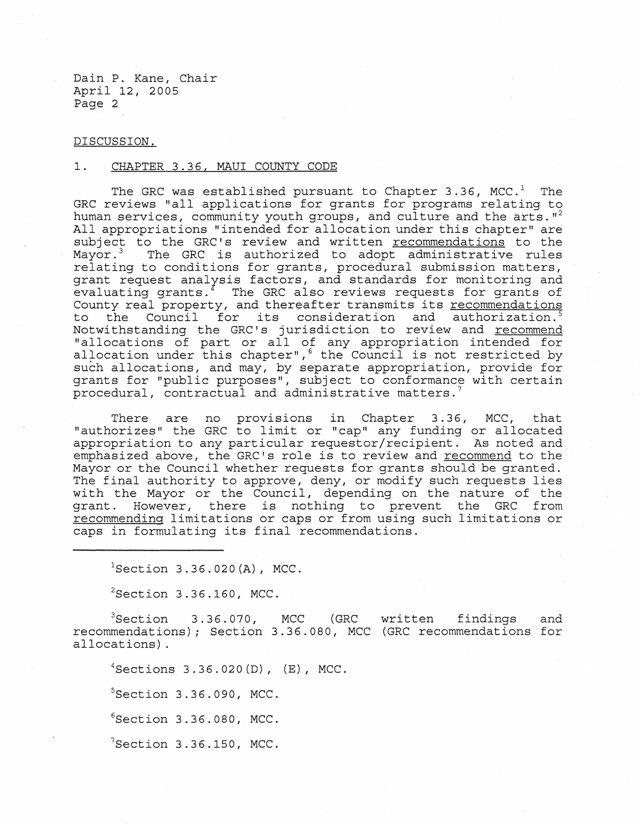Dain P. Kane, Chair April 12, 2005 Page 2

### DISCUSSION.

# **1.** CHAPTER 3.36, MAUl COUNTY CODE

The GRC was established pursuant to Chapter 3.36, MCC.<sup>1</sup> The GRC reviews "all applications for grants for programs relating to human services, community youth groups, and culture and the arts.  $I^2$ All appropriations "intended for allocation under this chapter" are subject to the GRC's review and written  $recommendations$  to the Mayor.<sup>3</sup> The GRC is authorized to adopt administrative rules</u> The GRC is authorized to adopt administrative rules relating to conditions for grants, procedural submission matters, grant request analysis factors, and standards for monitoring and evaluating grants.<sup>4</sup> The GRC also reviews requests for grants of County real property, and thereafter transmits its recommendations to the Council for its consideration and authorization.<sup>5</sup> Notwithstanding the GRC's jurisdiction to review and recommend "allocations of part or all of any appropriation intended for allocations of part of air of any appropriation intended for allocation under this chapter", the Council is not restricted by such allocations, and may, by separate appropriation, provide for grants for "public purposes", subject to conformance with certain procedural, contractual and administrative matters.<sup>7</sup>

There are no provisions in Chapter 3.36, MCC, that "authorizes" the GRC to limit or "cap" any funding or allocated appropriation to any particular requestor/recipient. As noted and emphasized above, the GRC's role is to review and recommend to the Mayor or the Council whether requests for grants should be granted. The final authority to approve, deny, or modify such requests lies with the Mayor or the Council, depending on the nature of the grant. However, there is nothing to prevent the GRC from recommending limitations or caps or from using such limitations or caps in formulating its final recommendations.

 ${}^{1}$ Section 3.36.020(A), MCC.

 $2$ Section 3.36.160, MCC.

 ${}^{3}$ Section 3.36.070, MCC (GRC recommendations) *;* Section 3.36.080, MCC (GRC recommendations for allocations) . written findings and

Sections 3.36.020(D), (E), MCC. Section 3.36.090, MCC. Section 3.36.080, MCC. Section 3.36.150, MCC.